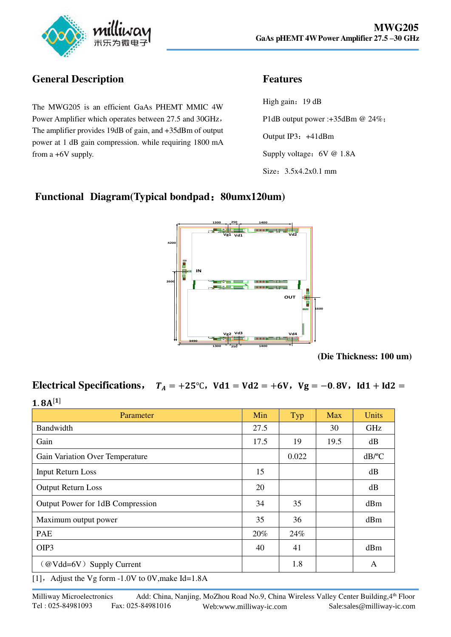

# **General Description**

The MWG205 is an efficient GaAs PHEMT MMIC 4W Power Amplifier which operates between 27.5 and 30GHz, The amplifier provides 19dB of gain, and +35dBm of output power at 1 dB gain compression. while requiring 1800 mA from a +6V supply.

#### **Features**

High gain: 19 dB P1dB output power :+35dBm @ 24%; Output IP3: +41dBm Supply voltage: 6V @ 1.8A Size: 3.5x4.2x0.1 mm

### **Functional Diagram(Typical bondpad**:**80umx120um)**



**(Die Thickness: 100 um)**

# **Electrical Specifications,**  $T_A = +25^\circ \text{C}$ ,  $Vd1 = Vd2 = +6V$ ,  $Vg = -0.8V$ ,  $Id1 + Id2 =$

| $1.8A^{[1]}$                     |      |       |            |              |
|----------------------------------|------|-------|------------|--------------|
| Parameter                        | Min  | Typ   | <b>Max</b> | <b>Units</b> |
| Bandwidth                        | 27.5 |       | 30         | <b>GHz</b>   |
| Gain                             | 17.5 | 19    | 19.5       | dB           |
| Gain Variation Over Temperature  |      | 0.022 |            | $dB$ /°C     |
| <b>Input Return Loss</b>         | 15   |       |            | dB           |
| <b>Output Return Loss</b>        | 20   |       |            | dB           |
| Output Power for 1dB Compression | 34   | 35    |            | dBm          |
| Maximum output power             | 35   | 36    |            | dBm          |
| PAE                              | 20%  | 24%   |            |              |
| OIP3                             | 40   | 41    |            | dBm          |
| (@Vdd=6V) Supply Current         |      | 1.8   |            | A            |

[1],Adjust the Vg form -1.0V to 0V,make Id=1.8A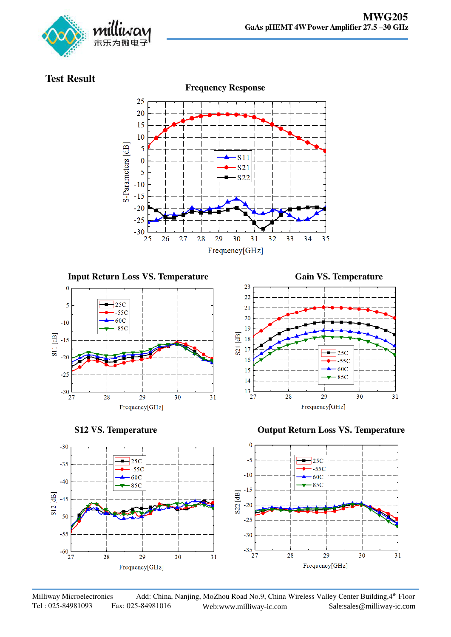

### **Test Result**

 $\overline{0}$ 

 $\overline{\mathcal{S}}$ 

 $-10$ 

 $-20$ 

 $-25$ 

 $-30\frac{1}{27}$ 

 $-30$ 

 $\begin{array}{c}\n\boxed{49} \\
\boxed{11} \\
\boxed{20}\n\end{array}$ 



**Input Return Loss VS. Temperature** *Gain VS. Temperature* 

 $25C$ 

 $55<sub>C</sub>$ 

 $60<sup>C</sup>$ 

 $-85C$ 







28







29

Frequency[GHz]

 $30$ 

31

Milliway Microelectronics Add: China, Nanjing, MoZhou Road No.9, China Wireless Valley Center Building, 4th Floor Tel : 025-84981093 Fax: 025-84981016 Web:www.milliway-ic.com Sale:sales@milliway-ic.com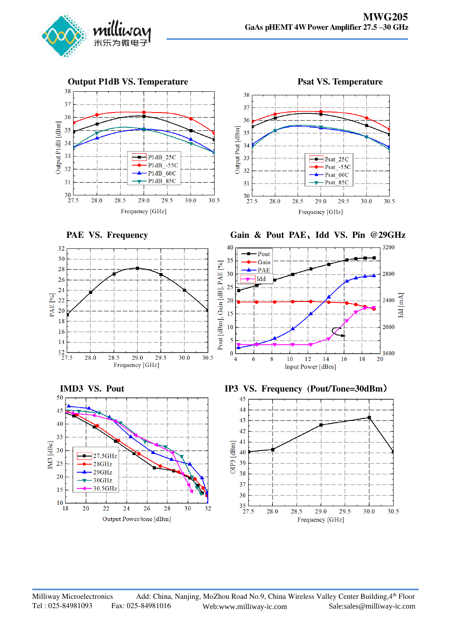